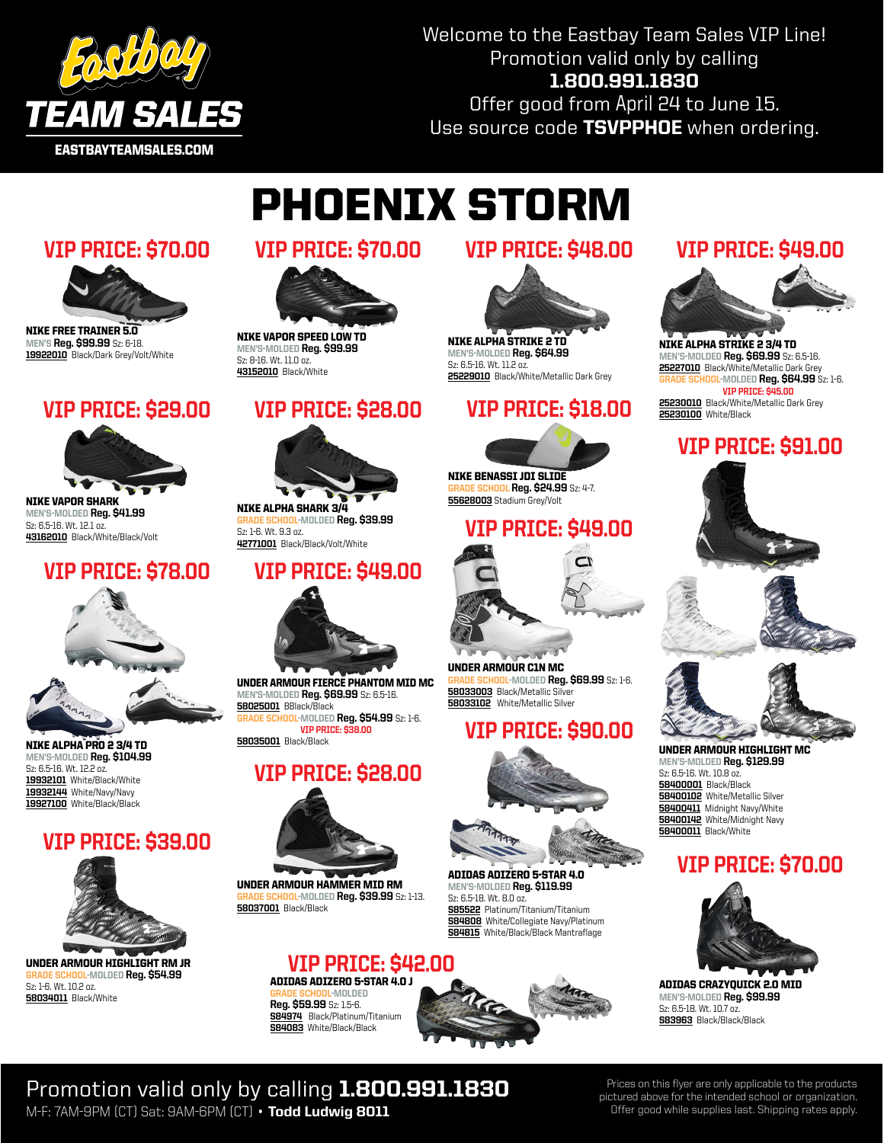

Welcome to the Eastbay Team Sales VIP Line! Promotion valid only by calling 1.800.991.1830

Offer good from April 24 to June 15. Use source code TSVPPHOE when ordering.

# Phoenix Storm



Nike Free Trainer 5.0 MEN'S Reg. \$99.99 Sz: 6-18. 19922010 Black/Dark Grey/Volt/White



Nike Vapor Shark MEn's-molded Reg. \$41.99 Sz: 6.5-16. Wt. 12.1 oz. 43162010 Black/White/Black/Volt

### VIP PRICE: \$78.00



Nike Alpha Pro 2 3/4 TD MEn's-molded Reg. \$104.99 Sz: 6.5-16. Wt. 12.2 oz. 19932101 White/Black/White 19932144 White/Navy/Navy 19927100 White/Black/Black

# VIP PRICE: \$39.00



Under Armour Highlight RM Jr JOL-MOLDED Reg. \$54.99 Sz: 1-6. Wt. 10.2 oz. **58034011** Black/White

### VIP PRICE: \$70.00 VIP PRICE: \$70.00 VIP PRICE: \$48.00



Nike Vapor Speed Low TD MEn's-molded Reg. \$99.99 Sz: 8-16. Wt. 11.0 oz. 43152010 Black/White

### VIP PRICE: \$28.00



Nike Alpha Shark 3/4 <mark>IL</mark>-MOLDED Reg. \$39.99 Sz: 1-6. Wt. 9.3 oz. 42771001 Black/Black/Volt/White

# VIP PRICE: \$49.00



Under Armour Fierce Phantom Mid MC MEn's-molded Reg. \$69.99 Sz: 6.5-16. 58025001 BBlack/Black

<mark>IDE SCHOOL</mark>-MOLDED **Reg. \$54.99** Sz: 1-6. VIP PRICE: \$3 58035001 Black/Black

# VIP PRICE: \$28.00



Under Armour Hammer Mid RM DE SCHOOL-MOLDED Reg. \$39.99 Sz: 1-13. 58037001 Black/Black

S84083 White/Black/Black





MEn's-molded Reg. \$64.99 Sz: 6.5-16. Wt. 11.2 oz. 25229010 Black/White/Metallic Dark Grey

# VIP PRICE: \$29.00 VIP PRICE: \$18.00



Nike Benassi JDI Slide **SCHOOL Reg. \$24.99 Sz: 4-7.** 55628003 Stadium Grey/Volt

### VIP PRICE: \$49.00



Under Armour C1N MC <mark>OOL</mark>-MOLDED **Reg. \$69.99** Sz: 1-6. 58033003 Black/Metallic Silver 58033102 White/Metallic Silver

# VIP PRICE: \$90.00



adidas adiZero 5-Star 4.0 MEn's-molded Reg. \$119.99 Sz: 6.5-18. Wt. 8.0 oz. S85522 Platinum/Titanium/Titanium **S84808** White/Collegiate Navy/Platinum S84815 White/Black/Black Mantraflage

# VIP PRICE: \$49.00



Nike Alpha Strike 2 3/4 TD MEN'S-MOLDED Reg. \$69.99 Sz: 6.5-16. 25227010 Black/White/Metallic Dark Grey <mark>00L</mark>-MOLDED **Reg. \$64.99** Śz: 1-6. VIP PRICE: \$45.00 25230010 Black/White/Metallic Dark Grey 25230100 White/Black

# VIP PRICE: \$91.00





Under Armour Highlight MC MEN'S-MOLDED Reg. \$129.99 Sz: 6.5-16. Wt. 10.8 oz. **58400001** Black/Black **58400102** White/Metallic Silver **58400411** Midnight Navy/White 58400142 White/Midnight Navy **58400011** Black/White

# VIP PRICE: \$70.00



adidas Crazyquick 2.0 Mid MEn's-molded Reg. \$99.99 Sz: 6.5-18. Wt. 10.7 oz. S83963 Black/Black/Black

### Promotion valid only by calling 1.800.991.1830 M-F: 7AM-9PM (CT) Sat: 9AM-6PM (CT) • Todd Ludwig 8011

Prices on this flyer are only applicable to the products pictured above for the intended school or organization. Offer good while supplies last. Shipping rates apply.